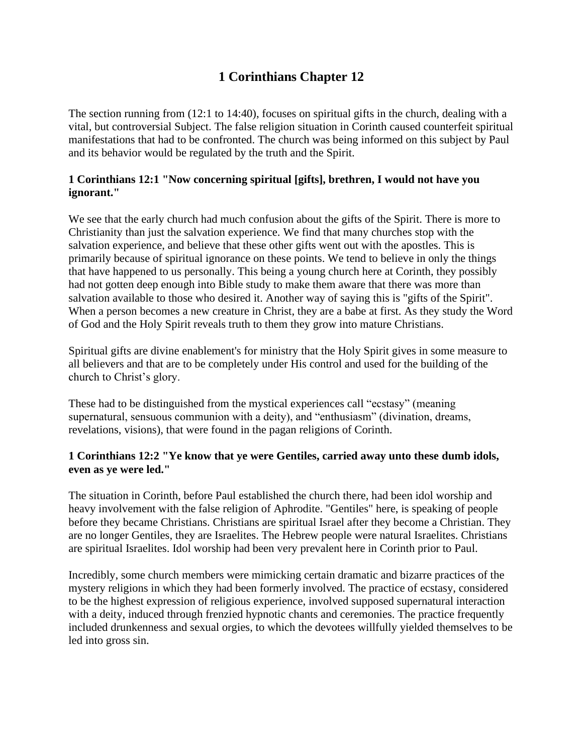## **1 Corinthians Chapter 12**

The section running from (12:1 to 14:40), focuses on spiritual gifts in the church, dealing with a vital, but controversial Subject. The false religion situation in Corinth caused counterfeit spiritual manifestations that had to be confronted. The church was being informed on this subject by Paul and its behavior would be regulated by the truth and the Spirit.

## **1 Corinthians 12:1 "Now concerning spiritual [gifts], brethren, I would not have you ignorant."**

We see that the early church had much confusion about the gifts of the Spirit. There is more to Christianity than just the salvation experience. We find that many churches stop with the salvation experience, and believe that these other gifts went out with the apostles. This is primarily because of spiritual ignorance on these points. We tend to believe in only the things that have happened to us personally. This being a young church here at Corinth, they possibly had not gotten deep enough into Bible study to make them aware that there was more than salvation available to those who desired it. Another way of saying this is "gifts of the Spirit". When a person becomes a new creature in Christ, they are a babe at first. As they study the Word of God and the Holy Spirit reveals truth to them they grow into mature Christians.

Spiritual gifts are divine enablement's for ministry that the Holy Spirit gives in some measure to all believers and that are to be completely under His control and used for the building of the church to Christ's glory.

These had to be distinguished from the mystical experiences call "ecstasy" (meaning supernatural, sensuous communion with a deity), and "enthusiasm" (divination, dreams, revelations, visions), that were found in the pagan religions of Corinth.

## **1 Corinthians 12:2 "Ye know that ye were Gentiles, carried away unto these dumb idols, even as ye were led."**

The situation in Corinth, before Paul established the church there, had been idol worship and heavy involvement with the false religion of Aphrodite. "Gentiles" here, is speaking of people before they became Christians. Christians are spiritual Israel after they become a Christian. They are no longer Gentiles, they are Israelites. The Hebrew people were natural Israelites. Christians are spiritual Israelites. Idol worship had been very prevalent here in Corinth prior to Paul.

Incredibly, some church members were mimicking certain dramatic and bizarre practices of the mystery religions in which they had been formerly involved. The practice of ecstasy, considered to be the highest expression of religious experience, involved supposed supernatural interaction with a deity, induced through frenzied hypnotic chants and ceremonies. The practice frequently included drunkenness and sexual orgies, to which the devotees willfully yielded themselves to be led into gross sin.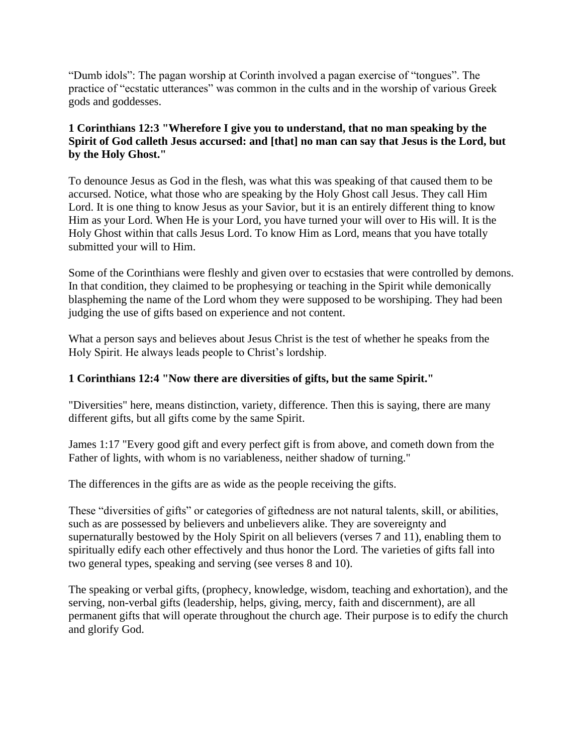"Dumb idols": The pagan worship at Corinth involved a pagan exercise of "tongues". The practice of "ecstatic utterances" was common in the cults and in the worship of various Greek gods and goddesses.

## **1 Corinthians 12:3 "Wherefore I give you to understand, that no man speaking by the Spirit of God calleth Jesus accursed: and [that] no man can say that Jesus is the Lord, but by the Holy Ghost."**

To denounce Jesus as God in the flesh, was what this was speaking of that caused them to be accursed. Notice, what those who are speaking by the Holy Ghost call Jesus. They call Him Lord. It is one thing to know Jesus as your Savior, but it is an entirely different thing to know Him as your Lord. When He is your Lord, you have turned your will over to His will. It is the Holy Ghost within that calls Jesus Lord. To know Him as Lord, means that you have totally submitted your will to Him.

Some of the Corinthians were fleshly and given over to ecstasies that were controlled by demons. In that condition, they claimed to be prophesying or teaching in the Spirit while demonically blaspheming the name of the Lord whom they were supposed to be worshiping. They had been judging the use of gifts based on experience and not content.

What a person says and believes about Jesus Christ is the test of whether he speaks from the Holy Spirit. He always leads people to Christ's lordship.

## **1 Corinthians 12:4 "Now there are diversities of gifts, but the same Spirit."**

"Diversities" here, means distinction, variety, difference. Then this is saying, there are many different gifts, but all gifts come by the same Spirit.

James 1:17 "Every good gift and every perfect gift is from above, and cometh down from the Father of lights, with whom is no variableness, neither shadow of turning."

The differences in the gifts are as wide as the people receiving the gifts.

These "diversities of gifts" or categories of giftedness are not natural talents, skill, or abilities, such as are possessed by believers and unbelievers alike. They are sovereignty and supernaturally bestowed by the Holy Spirit on all believers (verses 7 and 11), enabling them to spiritually edify each other effectively and thus honor the Lord. The varieties of gifts fall into two general types, speaking and serving (see verses 8 and 10).

The speaking or verbal gifts, (prophecy, knowledge, wisdom, teaching and exhortation), and the serving, non-verbal gifts (leadership, helps, giving, mercy, faith and discernment), are all permanent gifts that will operate throughout the church age. Their purpose is to edify the church and glorify God.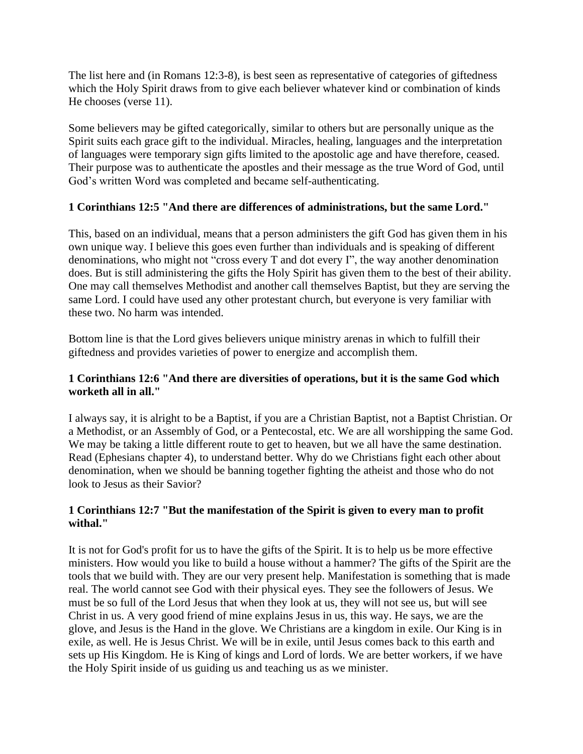The list here and (in Romans 12:3-8), is best seen as representative of categories of giftedness which the Holy Spirit draws from to give each believer whatever kind or combination of kinds He chooses (verse 11).

Some believers may be gifted categorically, similar to others but are personally unique as the Spirit suits each grace gift to the individual. Miracles, healing, languages and the interpretation of languages were temporary sign gifts limited to the apostolic age and have therefore, ceased. Their purpose was to authenticate the apostles and their message as the true Word of God, until God's written Word was completed and became self-authenticating.

## **1 Corinthians 12:5 "And there are differences of administrations, but the same Lord."**

This, based on an individual, means that a person administers the gift God has given them in his own unique way. I believe this goes even further than individuals and is speaking of different denominations, who might not "cross every T and dot every I", the way another denomination does. But is still administering the gifts the Holy Spirit has given them to the best of their ability. One may call themselves Methodist and another call themselves Baptist, but they are serving the same Lord. I could have used any other protestant church, but everyone is very familiar with these two. No harm was intended.

Bottom line is that the Lord gives believers unique ministry arenas in which to fulfill their giftedness and provides varieties of power to energize and accomplish them.

## **1 Corinthians 12:6 "And there are diversities of operations, but it is the same God which worketh all in all."**

I always say, it is alright to be a Baptist, if you are a Christian Baptist, not a Baptist Christian. Or a Methodist, or an Assembly of God, or a Pentecostal, etc. We are all worshipping the same God. We may be taking a little different route to get to heaven, but we all have the same destination. Read (Ephesians chapter 4), to understand better. Why do we Christians fight each other about denomination, when we should be banning together fighting the atheist and those who do not look to Jesus as their Savior?

#### **1 Corinthians 12:7 "But the manifestation of the Spirit is given to every man to profit withal."**

It is not for God's profit for us to have the gifts of the Spirit. It is to help us be more effective ministers. How would you like to build a house without a hammer? The gifts of the Spirit are the tools that we build with. They are our very present help. Manifestation is something that is made real. The world cannot see God with their physical eyes. They see the followers of Jesus. We must be so full of the Lord Jesus that when they look at us, they will not see us, but will see Christ in us. A very good friend of mine explains Jesus in us, this way. He says, we are the glove, and Jesus is the Hand in the glove. We Christians are a kingdom in exile. Our King is in exile, as well. He is Jesus Christ. We will be in exile, until Jesus comes back to this earth and sets up His Kingdom. He is King of kings and Lord of lords. We are better workers, if we have the Holy Spirit inside of us guiding us and teaching us as we minister.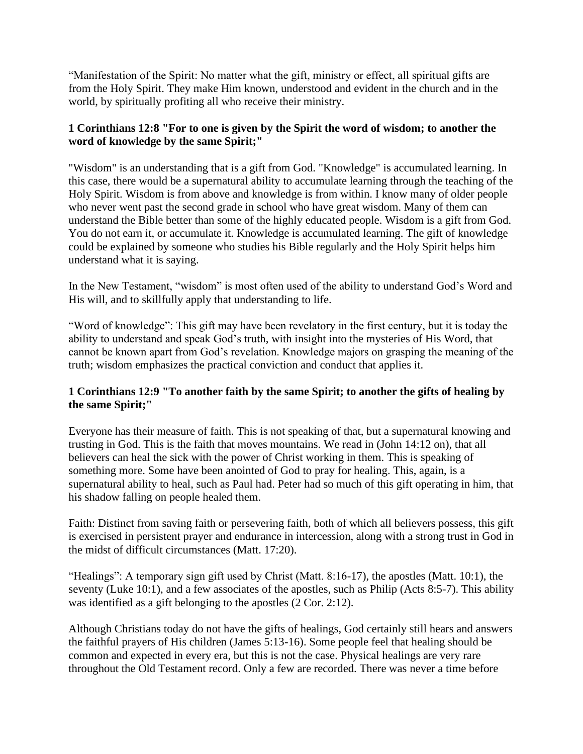"Manifestation of the Spirit: No matter what the gift, ministry or effect, all spiritual gifts are from the Holy Spirit. They make Him known, understood and evident in the church and in the world, by spiritually profiting all who receive their ministry.

## **1 Corinthians 12:8 "For to one is given by the Spirit the word of wisdom; to another the word of knowledge by the same Spirit;"**

"Wisdom" is an understanding that is a gift from God. "Knowledge" is accumulated learning. In this case, there would be a supernatural ability to accumulate learning through the teaching of the Holy Spirit. Wisdom is from above and knowledge is from within. I know many of older people who never went past the second grade in school who have great wisdom. Many of them can understand the Bible better than some of the highly educated people. Wisdom is a gift from God. You do not earn it, or accumulate it. Knowledge is accumulated learning. The gift of knowledge could be explained by someone who studies his Bible regularly and the Holy Spirit helps him understand what it is saying.

In the New Testament, "wisdom" is most often used of the ability to understand God's Word and His will, and to skillfully apply that understanding to life.

"Word of knowledge": This gift may have been revelatory in the first century, but it is today the ability to understand and speak God's truth, with insight into the mysteries of His Word, that cannot be known apart from God's revelation. Knowledge majors on grasping the meaning of the truth; wisdom emphasizes the practical conviction and conduct that applies it.

## **1 Corinthians 12:9 "To another faith by the same Spirit; to another the gifts of healing by the same Spirit;"**

Everyone has their measure of faith. This is not speaking of that, but a supernatural knowing and trusting in God. This is the faith that moves mountains. We read in (John 14:12 on), that all believers can heal the sick with the power of Christ working in them. This is speaking of something more. Some have been anointed of God to pray for healing. This, again, is a supernatural ability to heal, such as Paul had. Peter had so much of this gift operating in him, that his shadow falling on people healed them.

Faith: Distinct from saving faith or persevering faith, both of which all believers possess, this gift is exercised in persistent prayer and endurance in intercession, along with a strong trust in God in the midst of difficult circumstances (Matt. 17:20).

"Healings": A temporary sign gift used by Christ (Matt. 8:16-17), the apostles (Matt. 10:1), the seventy (Luke 10:1), and a few associates of the apostles, such as Philip (Acts 8:5-7). This ability was identified as a gift belonging to the apostles (2 Cor. 2:12).

Although Christians today do not have the gifts of healings, God certainly still hears and answers the faithful prayers of His children (James 5:13-16). Some people feel that healing should be common and expected in every era, but this is not the case. Physical healings are very rare throughout the Old Testament record. Only a few are recorded. There was never a time before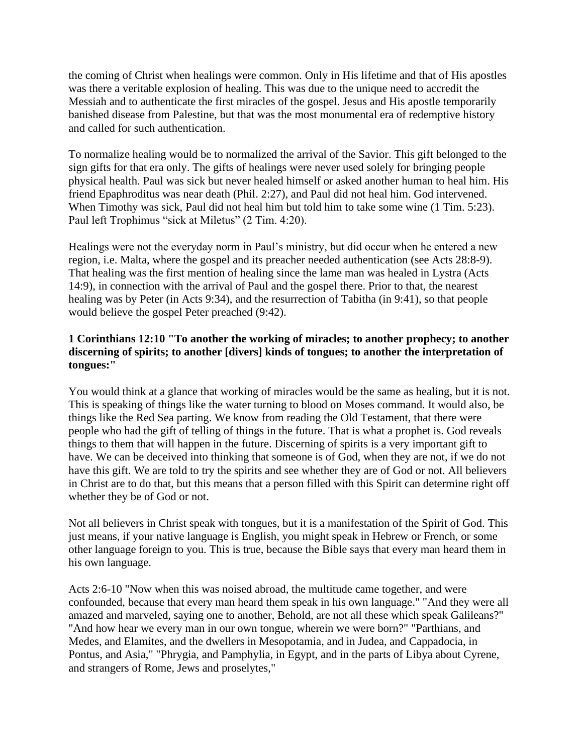the coming of Christ when healings were common. Only in His lifetime and that of His apostles was there a veritable explosion of healing. This was due to the unique need to accredit the Messiah and to authenticate the first miracles of the gospel. Jesus and His apostle temporarily banished disease from Palestine, but that was the most monumental era of redemptive history and called for such authentication.

To normalize healing would be to normalized the arrival of the Savior. This gift belonged to the sign gifts for that era only. The gifts of healings were never used solely for bringing people physical health. Paul was sick but never healed himself or asked another human to heal him. His friend Epaphroditus was near death (Phil. 2:27), and Paul did not heal him. God intervened. When Timothy was sick, Paul did not heal him but told him to take some wine  $(1 \text{ Tim. } 5:23)$ . Paul left Trophimus "sick at Miletus" (2 Tim. 4:20).

Healings were not the everyday norm in Paul's ministry, but did occur when he entered a new region, i.e. Malta, where the gospel and its preacher needed authentication (see Acts 28:8-9). That healing was the first mention of healing since the lame man was healed in Lystra (Acts 14:9), in connection with the arrival of Paul and the gospel there. Prior to that, the nearest healing was by Peter (in Acts 9:34), and the resurrection of Tabitha (in 9:41), so that people would believe the gospel Peter preached (9:42).

## **1 Corinthians 12:10 "To another the working of miracles; to another prophecy; to another discerning of spirits; to another [divers] kinds of tongues; to another the interpretation of tongues:"**

You would think at a glance that working of miracles would be the same as healing, but it is not. This is speaking of things like the water turning to blood on Moses command. It would also, be things like the Red Sea parting. We know from reading the Old Testament, that there were people who had the gift of telling of things in the future. That is what a prophet is. God reveals things to them that will happen in the future. Discerning of spirits is a very important gift to have. We can be deceived into thinking that someone is of God, when they are not, if we do not have this gift. We are told to try the spirits and see whether they are of God or not. All believers in Christ are to do that, but this means that a person filled with this Spirit can determine right off whether they be of God or not.

Not all believers in Christ speak with tongues, but it is a manifestation of the Spirit of God. This just means, if your native language is English, you might speak in Hebrew or French, or some other language foreign to you. This is true, because the Bible says that every man heard them in his own language.

Acts 2:6-10 "Now when this was noised abroad, the multitude came together, and were confounded, because that every man heard them speak in his own language." "And they were all amazed and marveled, saying one to another, Behold, are not all these which speak Galileans?" "And how hear we every man in our own tongue, wherein we were born?" "Parthians, and Medes, and Elamites, and the dwellers in Mesopotamia, and in Judea, and Cappadocia, in Pontus, and Asia," "Phrygia, and Pamphylia, in Egypt, and in the parts of Libya about Cyrene, and strangers of Rome, Jews and proselytes,"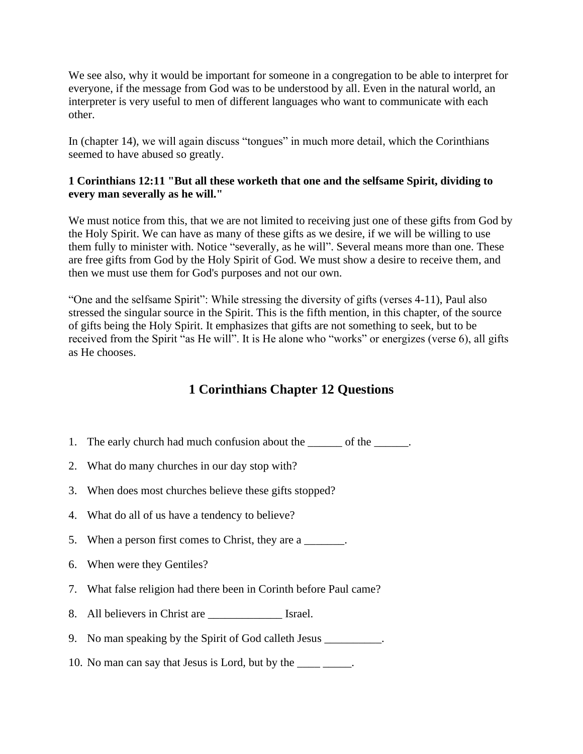We see also, why it would be important for someone in a congregation to be able to interpret for everyone, if the message from God was to be understood by all. Even in the natural world, an interpreter is very useful to men of different languages who want to communicate with each other.

In (chapter 14), we will again discuss "tongues" in much more detail, which the Corinthians seemed to have abused so greatly.

## **1 Corinthians 12:11 "But all these worketh that one and the selfsame Spirit, dividing to every man severally as he will."**

We must notice from this, that we are not limited to receiving just one of these gifts from God by the Holy Spirit. We can have as many of these gifts as we desire, if we will be willing to use them fully to minister with. Notice "severally, as he will". Several means more than one. These are free gifts from God by the Holy Spirit of God. We must show a desire to receive them, and then we must use them for God's purposes and not our own.

"One and the selfsame Spirit": While stressing the diversity of gifts (verses 4-11), Paul also stressed the singular source in the Spirit. This is the fifth mention, in this chapter, of the source of gifts being the Holy Spirit. It emphasizes that gifts are not something to seek, but to be received from the Spirit "as He will". It is He alone who "works" or energizes (verse 6), all gifts as He chooses.

# **1 Corinthians Chapter 12 Questions**

- 1. The early church had much confusion about the \_\_\_\_\_\_\_ of the \_\_\_\_\_\_.
- 2. What do many churches in our day stop with?
- 3. When does most churches believe these gifts stopped?
- 4. What do all of us have a tendency to believe?
- 5. When a person first comes to Christ, they are a
- 6. When were they Gentiles?
- 7. What false religion had there been in Corinth before Paul came?
- 8. All believers in Christ are \_\_\_\_\_\_\_\_\_\_\_\_\_ Israel.
- 9. No man speaking by the Spirit of God calleth Jesus \_\_\_\_\_\_\_\_\_\_.
- 10. No man can say that Jesus is Lord, but by the \_\_\_\_\_\_\_\_.